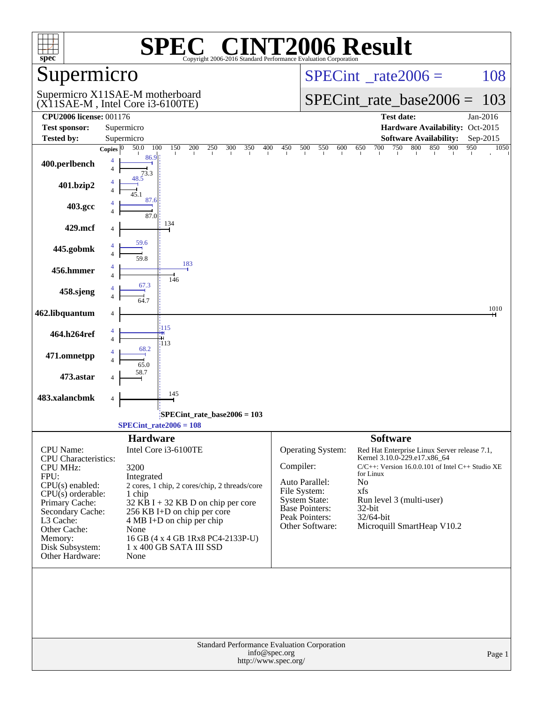| spec®                                          |                                                                       |                                                              | Copyright 2006-2016 Standard Performance Evaluation Corporation            |               |                                        | <b>T2006 Result</b>                                                                             |            |             |
|------------------------------------------------|-----------------------------------------------------------------------|--------------------------------------------------------------|----------------------------------------------------------------------------|---------------|----------------------------------------|-------------------------------------------------------------------------------------------------|------------|-------------|
| Supermicro                                     |                                                                       |                                                              |                                                                            |               |                                        | $SPECint^{\circ}$ rate $2006 =$                                                                 |            | 108         |
|                                                | Supermicro X11SAE-M motherboard<br>$(X11SAE-M, Intel Core i3-6100TE)$ |                                                              | $SPECint_rate_base2006 =$                                                  |               | 103                                    |                                                                                                 |            |             |
| <b>CPU2006 license: 001176</b>                 |                                                                       |                                                              |                                                                            |               |                                        | <b>Test date:</b>                                                                               |            | Jan-2016    |
| <b>Test sponsor:</b><br><b>Tested by:</b>      | Supermicro<br>Supermicro                                              |                                                              |                                                                            |               |                                        | Hardware Availability: Oct-2015<br><b>Software Availability:</b>                                |            | Sep-2015    |
|                                                | 50.0<br>Copies $ 0\rangle$                                            | 100<br>150<br>200                                            | 250<br>300<br>350<br>400                                                   | 450           | 500<br>550<br>600                      | 650<br>750<br>800<br>700                                                                        | 850<br>900 | 950<br>1050 |
| 400.perlbench                                  | 86.9<br>4<br>$\overline{4}$<br>73.3                                   |                                                              |                                                                            |               |                                        |                                                                                                 |            |             |
| 401.bzip2                                      | 48.5<br>4<br>Δ                                                        |                                                              |                                                                            |               |                                        |                                                                                                 |            |             |
| 403.gcc                                        | 87.6<br>4<br>4<br>87.0                                                |                                                              |                                                                            |               |                                        |                                                                                                 |            |             |
| 429.mcf                                        | 4                                                                     | 134                                                          |                                                                            |               |                                        |                                                                                                 |            |             |
| 445.gobmk                                      | 59.6<br>$\Delta$<br>59.8                                              |                                                              |                                                                            |               |                                        |                                                                                                 |            |             |
| 456.hmmer                                      | 4<br>$\overline{4}$                                                   | 183<br>146                                                   |                                                                            |               |                                        |                                                                                                 |            |             |
| 458.sjeng                                      | 67.3<br>4<br>$\Delta$                                                 |                                                              |                                                                            |               |                                        |                                                                                                 |            |             |
| 462.libquantum                                 | 4                                                                     |                                                              |                                                                            |               |                                        |                                                                                                 |            | 1010        |
| 464.h264ref                                    | 4<br>$\overline{4}$                                                   | 115<br>113                                                   |                                                                            |               |                                        |                                                                                                 |            |             |
| 471.omnetpp                                    | 68.2<br>65.0                                                          |                                                              |                                                                            |               |                                        |                                                                                                 |            |             |
| 473.astar                                      | 58.7                                                                  |                                                              |                                                                            |               |                                        |                                                                                                 |            |             |
| 483.xalancbmk                                  | 4                                                                     | 145                                                          |                                                                            |               |                                        |                                                                                                 |            |             |
|                                                |                                                                       | SPECint rate base $2006 = 103$                               |                                                                            |               |                                        |                                                                                                 |            |             |
|                                                |                                                                       | <b>SPECint</b> rate $2006 = 108$                             |                                                                            |               |                                        |                                                                                                 |            |             |
| CPU Name:                                      | <b>Hardware</b>                                                       | Intel Core i3-6100TE                                         |                                                                            |               | Operating System:                      | <b>Software</b><br>Red Hat Enterprise Linux Server release 7.1,<br>Kernel 3.10.0-229.e17.x86_64 |            |             |
| <b>CPU</b> Characteristics:<br><b>CPU MHz:</b> | 3200                                                                  |                                                              |                                                                            | Compiler:     |                                        | $C/C++$ : Version 16.0.0.101 of Intel $C++$ Studio XE                                           |            |             |
| FPU:<br>$CPU(s)$ enabled:                      | Integrated                                                            |                                                              |                                                                            |               | Auto Parallel:                         | for Linux<br>N <sub>o</sub>                                                                     |            |             |
| $CPU(s)$ orderable:                            | 1 chip                                                                | 2 cores, 1 chip, 2 cores/chip, 2 threads/core                |                                                                            |               | File System:                           | xfs                                                                                             |            |             |
| Primary Cache:                                 |                                                                       | $32$ KB I + 32 KB D on chip per core                         |                                                                            |               | <b>System State:</b><br>Base Pointers: | Run level 3 (multi-user)<br>32-bit                                                              |            |             |
| Secondary Cache:<br>L3 Cache:                  |                                                                       | 256 KB I+D on chip per core<br>4 MB I+D on chip per chip     |                                                                            |               | Peak Pointers:                         | 32/64-bit                                                                                       |            |             |
| Other Cache:                                   | None                                                                  |                                                              |                                                                            |               | Other Software:                        | Microquill SmartHeap V10.2                                                                      |            |             |
| Memory:<br>Disk Subsystem:                     |                                                                       | 16 GB (4 x 4 GB 1Rx8 PC4-2133P-U)<br>1 x 400 GB SATA III SSD |                                                                            |               |                                        |                                                                                                 |            |             |
| Other Hardware:                                | None                                                                  |                                                              |                                                                            |               |                                        |                                                                                                 |            |             |
|                                                |                                                                       |                                                              |                                                                            |               |                                        |                                                                                                 |            |             |
|                                                |                                                                       |                                                              | <b>Standard Performance Evaluation Corporation</b><br>http://www.spec.org/ | info@spec.org |                                        |                                                                                                 |            | Page 1      |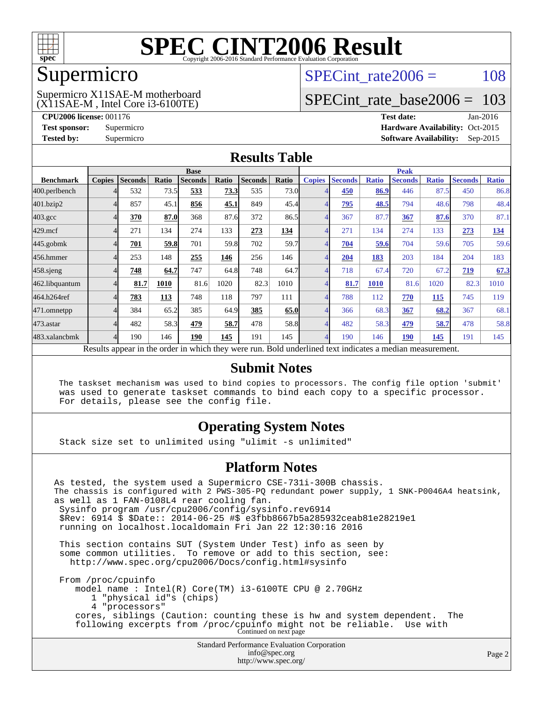

## Supermicro

#### (X11SAE-M , Intel Core i3-6100TE) Supermicro X11SAE-M motherboard

SPECint rate $2006 = 108$ 

# [SPECint\\_rate\\_base2006 =](http://www.spec.org/auto/cpu2006/Docs/result-fields.html#SPECintratebase2006) 103

**[CPU2006 license:](http://www.spec.org/auto/cpu2006/Docs/result-fields.html#CPU2006license)** 001176 **[Test date:](http://www.spec.org/auto/cpu2006/Docs/result-fields.html#Testdate)** Jan-2016 **[Test sponsor:](http://www.spec.org/auto/cpu2006/Docs/result-fields.html#Testsponsor)** Supermicro Supermicro **[Hardware Availability:](http://www.spec.org/auto/cpu2006/Docs/result-fields.html#HardwareAvailability)** Oct-2015 **[Tested by:](http://www.spec.org/auto/cpu2006/Docs/result-fields.html#Testedby)** Supermicro **Supermicro [Software Availability:](http://www.spec.org/auto/cpu2006/Docs/result-fields.html#SoftwareAvailability)** Sep-2015

### **[Results Table](http://www.spec.org/auto/cpu2006/Docs/result-fields.html#ResultsTable)**

|                                                                                                          | <b>Base</b>   |                |       |                |       |                |       | <b>Peak</b>    |                |              |                |              |                |              |
|----------------------------------------------------------------------------------------------------------|---------------|----------------|-------|----------------|-------|----------------|-------|----------------|----------------|--------------|----------------|--------------|----------------|--------------|
| <b>Benchmark</b>                                                                                         | <b>Copies</b> | <b>Seconds</b> | Ratio | <b>Seconds</b> | Ratio | <b>Seconds</b> | Ratio | <b>Copies</b>  | <b>Seconds</b> | <b>Ratio</b> | <b>Seconds</b> | <b>Ratio</b> | <b>Seconds</b> | <b>Ratio</b> |
| 400.perlbench                                                                                            |               | 532            | 73.5  | 533            | 73.3  | 535            | 73.0  |                | 450            | 86.9         | 446            | 87.5         | 450            | 86.8         |
| 401.bzip2                                                                                                |               | 857            | 45.1  | 856            | 45.1  | 849            | 45.4  |                | 795            | 48.5         | 794            | 48.6         | 798            | 48.4         |
| $403.\mathrm{gcc}$                                                                                       |               | 370            | 87.0  | 368            | 87.6  | 372            | 86.5  |                | 367            | 87.7         | 367            | 87.6         | 370            | 87.1         |
| $429$ .mcf                                                                                               |               | 271            | 134   | 274            | 133   | 273            | 134   |                | 271            | 134          | 274            | 133          | 273            | <b>134</b>   |
| $445$ .gobmk                                                                                             |               | 701            | 59.8  | 701            | 59.8  | 702            | 59.7  |                | 704            | 59.6         | 704            | 59.6         | 705            | 59.6         |
| 456.hmmer                                                                                                |               | 253            | 148   | 255            | 146   | 256            | 146   |                | 204            | 183          | 203            | 184          | 204            | 183          |
| $458$ .sjeng                                                                                             |               | 748            | 64.7  | 747            | 64.8  | 748            | 64.7  | $\overline{4}$ | 718            | 67.4         | 720            | 67.2         | 719            | 67.3         |
| 462.libquantum                                                                                           |               | 81.7           | 1010  | 81.6           | 1020  | 82.3           | 1010  |                | 81.7           | <b>1010</b>  | 81.6           | 1020         | 82.3           | 1010         |
| 464.h264ref                                                                                              |               | 783            | 113   | 748            | 118   | 797            | 111   |                | 788            | 112          | 770            | <b>115</b>   | 745            | 119          |
| 471.omnetpp                                                                                              |               | 384            | 65.2  | 385            | 64.9  | 385            | 65.0  |                | 366            | 68.3         | 367            | 68.2         | 367            | 68.1         |
| 473.astar                                                                                                |               | 482            | 58.3  | 479            | 58.7  | 478            | 58.8  | 4              | 482            | 58.3         | 479            | 58.7         | 478            | 58.8         |
| 483.xalancbmk                                                                                            |               | 190            | 146   | 190            | 145   | 191            | 145   | 4              | 190            | 146          | 190            | 145          | 191            | 145          |
| Results appear in the order in which they were run. Bold underlined text indicates a median measurement. |               |                |       |                |       |                |       |                |                |              |                |              |                |              |

#### **[Submit Notes](http://www.spec.org/auto/cpu2006/Docs/result-fields.html#SubmitNotes)**

 The taskset mechanism was used to bind copies to processors. The config file option 'submit' was used to generate taskset commands to bind each copy to a specific processor. For details, please see the config file.

### **[Operating System Notes](http://www.spec.org/auto/cpu2006/Docs/result-fields.html#OperatingSystemNotes)**

Stack size set to unlimited using "ulimit -s unlimited"

#### **[Platform Notes](http://www.spec.org/auto/cpu2006/Docs/result-fields.html#PlatformNotes)**

Standard Performance Evaluation Corporation [info@spec.org](mailto:info@spec.org) As tested, the system used a Supermicro CSE-731i-300B chassis. The chassis is configured with 2 PWS-305-PQ redundant power supply, 1 SNK-P0046A4 heatsink, as well as 1 FAN-0108L4 rear cooling fan. Sysinfo program /usr/cpu2006/config/sysinfo.rev6914 \$Rev: 6914 \$ \$Date:: 2014-06-25 #\$ e3fbb8667b5a285932ceab81e28219e1 running on localhost.localdomain Fri Jan 22 12:30:16 2016 This section contains SUT (System Under Test) info as seen by some common utilities. To remove or add to this section, see: <http://www.spec.org/cpu2006/Docs/config.html#sysinfo> From /proc/cpuinfo model name : Intel(R) Core(TM) i3-6100TE CPU @ 2.70GHz 1 "physical id"s (chips) 4 "processors" cores, siblings (Caution: counting these is hw and system dependent. The following excerpts from /proc/cpuinfo might not be reliable. Use with Continued on next page

<http://www.spec.org/>

Page 2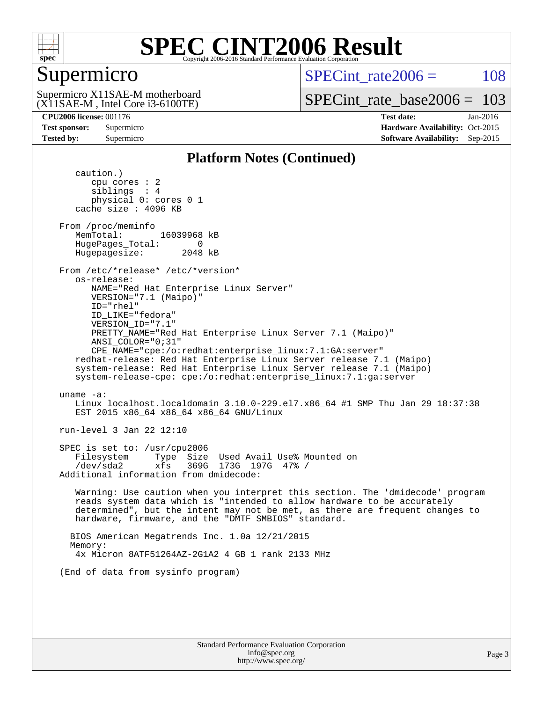

# Supermicro

SPECint rate $2006 = 108$ 

(X11SAE-M , Intel Core i3-6100TE) Supermicro X11SAE-M motherboard

[SPECint\\_rate\\_base2006 =](http://www.spec.org/auto/cpu2006/Docs/result-fields.html#SPECintratebase2006) 103

**[CPU2006 license:](http://www.spec.org/auto/cpu2006/Docs/result-fields.html#CPU2006license)** 001176 **[Test date:](http://www.spec.org/auto/cpu2006/Docs/result-fields.html#Testdate)** Jan-2016 **[Test sponsor:](http://www.spec.org/auto/cpu2006/Docs/result-fields.html#Testsponsor)** Supermicro Supermicro **[Hardware Availability:](http://www.spec.org/auto/cpu2006/Docs/result-fields.html#HardwareAvailability)** Oct-2015 **[Tested by:](http://www.spec.org/auto/cpu2006/Docs/result-fields.html#Testedby)** Supermicro **Supermicro [Software Availability:](http://www.spec.org/auto/cpu2006/Docs/result-fields.html#SoftwareAvailability)** Sep-2015

### **[Platform Notes \(Continued\)](http://www.spec.org/auto/cpu2006/Docs/result-fields.html#PlatformNotes)**

 caution.) cpu cores : 2 siblings : 4 physical 0: cores 0 1 cache size : 4096 KB From /proc/meminfo MemTotal: 16039968 kB HugePages\_Total: 0<br>Hugepagesize: 2048 kB Hugepagesize: From /etc/\*release\* /etc/\*version\* os-release: NAME="Red Hat Enterprise Linux Server" VERSION="7.1 (Maipo)" ID="rhel" ID\_LIKE="fedora" VERSION\_ID="7.1" PRETTY\_NAME="Red Hat Enterprise Linux Server 7.1 (Maipo)" ANSI\_COLOR="0;31" CPE\_NAME="cpe:/o:redhat:enterprise\_linux:7.1:GA:server" redhat-release: Red Hat Enterprise Linux Server release 7.1 (Maipo) system-release: Red Hat Enterprise Linux Server release 7.1 (Maipo) system-release-cpe: cpe:/o:redhat:enterprise\_linux:7.1:ga:server uname -a: Linux localhost.localdomain 3.10.0-229.el7.x86\_64 #1 SMP Thu Jan 29 18:37:38 EST 2015 x86\_64 x86\_64 x86\_64 GNU/Linux run-level 3 Jan 22 12:10 SPEC is set to: /usr/cpu2006 Filesystem Type Size Used Avail Use% Mounted on /dev/sda2 xfs 369G 173G 197G 47% / Additional information from dmidecode: Warning: Use caution when you interpret this section. The 'dmidecode' program reads system data which is "intended to allow hardware to be accurately determined", but the intent may not be met, as there are frequent changes to hardware, firmware, and the "DMTF SMBIOS" standard. BIOS American Megatrends Inc. 1.0a 12/21/2015 Memory: 4x Micron 8ATF51264AZ-2G1A2 4 GB 1 rank 2133 MHz (End of data from sysinfo program)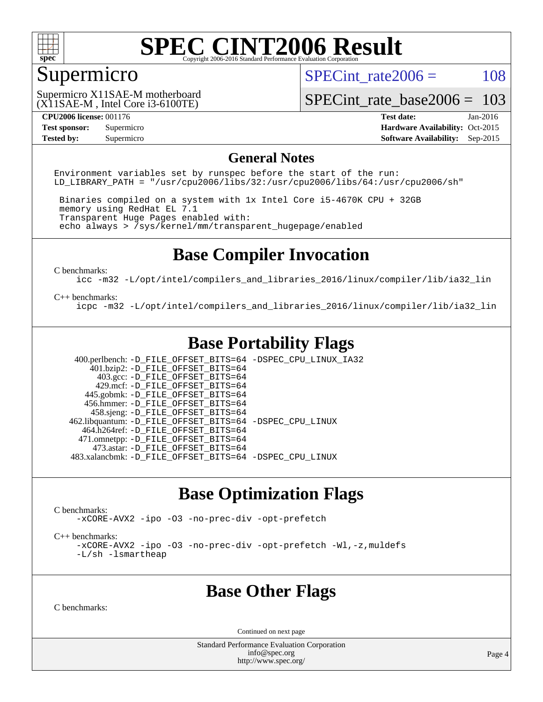

# Supermicro

SPECint rate $2006 = 108$ 

(X11SAE-M , Intel Core i3-6100TE) Supermicro X11SAE-M motherboard

[SPECint\\_rate\\_base2006 =](http://www.spec.org/auto/cpu2006/Docs/result-fields.html#SPECintratebase2006) 103

**[CPU2006 license:](http://www.spec.org/auto/cpu2006/Docs/result-fields.html#CPU2006license)** 001176 **[Test date:](http://www.spec.org/auto/cpu2006/Docs/result-fields.html#Testdate)** Jan-2016 **[Test sponsor:](http://www.spec.org/auto/cpu2006/Docs/result-fields.html#Testsponsor)** Supermicro Supermicro **[Hardware Availability:](http://www.spec.org/auto/cpu2006/Docs/result-fields.html#HardwareAvailability)** Oct-2015 **[Tested by:](http://www.spec.org/auto/cpu2006/Docs/result-fields.html#Testedby)** Supermicro **Supermicro [Software Availability:](http://www.spec.org/auto/cpu2006/Docs/result-fields.html#SoftwareAvailability)** Sep-2015

#### **[General Notes](http://www.spec.org/auto/cpu2006/Docs/result-fields.html#GeneralNotes)**

Environment variables set by runspec before the start of the run: LD LIBRARY PATH = "/usr/cpu2006/libs/32:/usr/cpu2006/libs/64:/usr/cpu2006/sh"

 Binaries compiled on a system with 1x Intel Core i5-4670K CPU + 32GB memory using RedHat EL 7.1 Transparent Huge Pages enabled with: echo always > /sys/kernel/mm/transparent\_hugepage/enabled

# **[Base Compiler Invocation](http://www.spec.org/auto/cpu2006/Docs/result-fields.html#BaseCompilerInvocation)**

[C benchmarks](http://www.spec.org/auto/cpu2006/Docs/result-fields.html#Cbenchmarks):

[icc -m32 -L/opt/intel/compilers\\_and\\_libraries\\_2016/linux/compiler/lib/ia32\\_lin](http://www.spec.org/cpu2006/results/res2016q1/cpu2006-20160206-38974.flags.html#user_CCbase_intel_icc_e10256ba5924b668798078a321b0cb3f)

#### [C++ benchmarks:](http://www.spec.org/auto/cpu2006/Docs/result-fields.html#CXXbenchmarks)

[icpc -m32 -L/opt/intel/compilers\\_and\\_libraries\\_2016/linux/compiler/lib/ia32\\_lin](http://www.spec.org/cpu2006/results/res2016q1/cpu2006-20160206-38974.flags.html#user_CXXbase_intel_icpc_b4f50a394bdb4597aa5879c16bc3f5c5)

# **[Base Portability Flags](http://www.spec.org/auto/cpu2006/Docs/result-fields.html#BasePortabilityFlags)**

 400.perlbench: [-D\\_FILE\\_OFFSET\\_BITS=64](http://www.spec.org/cpu2006/results/res2016q1/cpu2006-20160206-38974.flags.html#user_basePORTABILITY400_perlbench_file_offset_bits_64_438cf9856305ebd76870a2c6dc2689ab) [-DSPEC\\_CPU\\_LINUX\\_IA32](http://www.spec.org/cpu2006/results/res2016q1/cpu2006-20160206-38974.flags.html#b400.perlbench_baseCPORTABILITY_DSPEC_CPU_LINUX_IA32)  $401.bzip2: -D$ FILE\_OFFSET\_BITS=64 403.gcc: [-D\\_FILE\\_OFFSET\\_BITS=64](http://www.spec.org/cpu2006/results/res2016q1/cpu2006-20160206-38974.flags.html#user_basePORTABILITY403_gcc_file_offset_bits_64_438cf9856305ebd76870a2c6dc2689ab) 429.mcf: [-D\\_FILE\\_OFFSET\\_BITS=64](http://www.spec.org/cpu2006/results/res2016q1/cpu2006-20160206-38974.flags.html#user_basePORTABILITY429_mcf_file_offset_bits_64_438cf9856305ebd76870a2c6dc2689ab) 445.gobmk: [-D\\_FILE\\_OFFSET\\_BITS=64](http://www.spec.org/cpu2006/results/res2016q1/cpu2006-20160206-38974.flags.html#user_basePORTABILITY445_gobmk_file_offset_bits_64_438cf9856305ebd76870a2c6dc2689ab) 456.hmmer: [-D\\_FILE\\_OFFSET\\_BITS=64](http://www.spec.org/cpu2006/results/res2016q1/cpu2006-20160206-38974.flags.html#user_basePORTABILITY456_hmmer_file_offset_bits_64_438cf9856305ebd76870a2c6dc2689ab) 458.sjeng: [-D\\_FILE\\_OFFSET\\_BITS=64](http://www.spec.org/cpu2006/results/res2016q1/cpu2006-20160206-38974.flags.html#user_basePORTABILITY458_sjeng_file_offset_bits_64_438cf9856305ebd76870a2c6dc2689ab) 462.libquantum: [-D\\_FILE\\_OFFSET\\_BITS=64](http://www.spec.org/cpu2006/results/res2016q1/cpu2006-20160206-38974.flags.html#user_basePORTABILITY462_libquantum_file_offset_bits_64_438cf9856305ebd76870a2c6dc2689ab) [-DSPEC\\_CPU\\_LINUX](http://www.spec.org/cpu2006/results/res2016q1/cpu2006-20160206-38974.flags.html#b462.libquantum_baseCPORTABILITY_DSPEC_CPU_LINUX) 464.h264ref: [-D\\_FILE\\_OFFSET\\_BITS=64](http://www.spec.org/cpu2006/results/res2016q1/cpu2006-20160206-38974.flags.html#user_basePORTABILITY464_h264ref_file_offset_bits_64_438cf9856305ebd76870a2c6dc2689ab) 471.omnetpp: [-D\\_FILE\\_OFFSET\\_BITS=64](http://www.spec.org/cpu2006/results/res2016q1/cpu2006-20160206-38974.flags.html#user_basePORTABILITY471_omnetpp_file_offset_bits_64_438cf9856305ebd76870a2c6dc2689ab) 473.astar: [-D\\_FILE\\_OFFSET\\_BITS=64](http://www.spec.org/cpu2006/results/res2016q1/cpu2006-20160206-38974.flags.html#user_basePORTABILITY473_astar_file_offset_bits_64_438cf9856305ebd76870a2c6dc2689ab) 483.xalancbmk: [-D\\_FILE\\_OFFSET\\_BITS=64](http://www.spec.org/cpu2006/results/res2016q1/cpu2006-20160206-38974.flags.html#user_basePORTABILITY483_xalancbmk_file_offset_bits_64_438cf9856305ebd76870a2c6dc2689ab) [-DSPEC\\_CPU\\_LINUX](http://www.spec.org/cpu2006/results/res2016q1/cpu2006-20160206-38974.flags.html#b483.xalancbmk_baseCXXPORTABILITY_DSPEC_CPU_LINUX)

### **[Base Optimization Flags](http://www.spec.org/auto/cpu2006/Docs/result-fields.html#BaseOptimizationFlags)**

[C benchmarks](http://www.spec.org/auto/cpu2006/Docs/result-fields.html#Cbenchmarks):

[-xCORE-AVX2](http://www.spec.org/cpu2006/results/res2016q1/cpu2006-20160206-38974.flags.html#user_CCbase_f-xAVX2_5f5fc0cbe2c9f62c816d3e45806c70d7) [-ipo](http://www.spec.org/cpu2006/results/res2016q1/cpu2006-20160206-38974.flags.html#user_CCbase_f-ipo) [-O3](http://www.spec.org/cpu2006/results/res2016q1/cpu2006-20160206-38974.flags.html#user_CCbase_f-O3) [-no-prec-div](http://www.spec.org/cpu2006/results/res2016q1/cpu2006-20160206-38974.flags.html#user_CCbase_f-no-prec-div) [-opt-prefetch](http://www.spec.org/cpu2006/results/res2016q1/cpu2006-20160206-38974.flags.html#user_CCbase_f-opt-prefetch)

[C++ benchmarks:](http://www.spec.org/auto/cpu2006/Docs/result-fields.html#CXXbenchmarks)

[-xCORE-AVX2](http://www.spec.org/cpu2006/results/res2016q1/cpu2006-20160206-38974.flags.html#user_CXXbase_f-xAVX2_5f5fc0cbe2c9f62c816d3e45806c70d7) [-ipo](http://www.spec.org/cpu2006/results/res2016q1/cpu2006-20160206-38974.flags.html#user_CXXbase_f-ipo) [-O3](http://www.spec.org/cpu2006/results/res2016q1/cpu2006-20160206-38974.flags.html#user_CXXbase_f-O3) [-no-prec-div](http://www.spec.org/cpu2006/results/res2016q1/cpu2006-20160206-38974.flags.html#user_CXXbase_f-no-prec-div) [-opt-prefetch](http://www.spec.org/cpu2006/results/res2016q1/cpu2006-20160206-38974.flags.html#user_CXXbase_f-opt-prefetch) [-Wl,-z,muldefs](http://www.spec.org/cpu2006/results/res2016q1/cpu2006-20160206-38974.flags.html#user_CXXbase_link_force_multiple1_74079c344b956b9658436fd1b6dd3a8a) [-L/sh -lsmartheap](http://www.spec.org/cpu2006/results/res2016q1/cpu2006-20160206-38974.flags.html#user_CXXbase_SmartHeap_32f6c82aa1ed9c52345d30cf6e4a0499)

### **[Base Other Flags](http://www.spec.org/auto/cpu2006/Docs/result-fields.html#BaseOtherFlags)**

[C benchmarks](http://www.spec.org/auto/cpu2006/Docs/result-fields.html#Cbenchmarks):

Continued on next page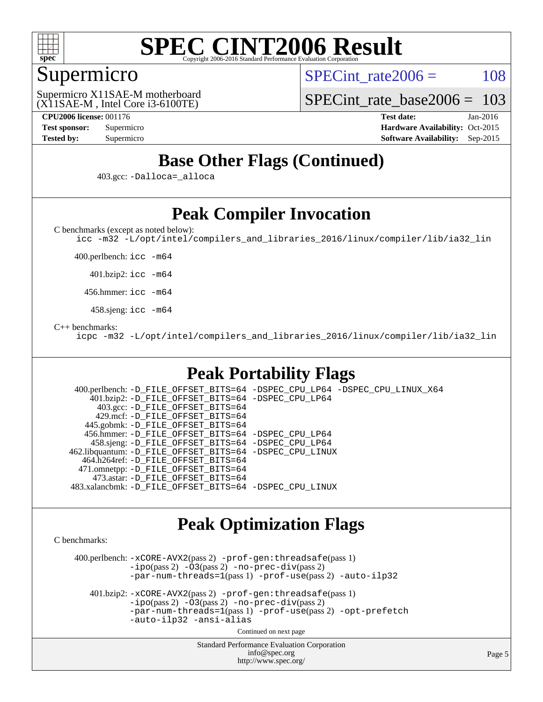

# Supermicro

SPECint rate $2006 = 108$ 

(X11SAE-M , Intel Core i3-6100TE) Supermicro X11SAE-M motherboard

[SPECint\\_rate\\_base2006 =](http://www.spec.org/auto/cpu2006/Docs/result-fields.html#SPECintratebase2006) 103

**[CPU2006 license:](http://www.spec.org/auto/cpu2006/Docs/result-fields.html#CPU2006license)** 001176 **[Test date:](http://www.spec.org/auto/cpu2006/Docs/result-fields.html#Testdate)** Jan-2016 **[Test sponsor:](http://www.spec.org/auto/cpu2006/Docs/result-fields.html#Testsponsor)** Supermicro Supermicro **[Hardware Availability:](http://www.spec.org/auto/cpu2006/Docs/result-fields.html#HardwareAvailability)** Oct-2015 **[Tested by:](http://www.spec.org/auto/cpu2006/Docs/result-fields.html#Testedby)** Supermicro **Supermicro [Software Availability:](http://www.spec.org/auto/cpu2006/Docs/result-fields.html#SoftwareAvailability)** Sep-2015

# **[Base Other Flags \(Continued\)](http://www.spec.org/auto/cpu2006/Docs/result-fields.html#BaseOtherFlags)**

403.gcc: [-Dalloca=\\_alloca](http://www.spec.org/cpu2006/results/res2016q1/cpu2006-20160206-38974.flags.html#b403.gcc_baseEXTRA_CFLAGS_Dalloca_be3056838c12de2578596ca5467af7f3)

# **[Peak Compiler Invocation](http://www.spec.org/auto/cpu2006/Docs/result-fields.html#PeakCompilerInvocation)**

[C benchmarks \(except as noted below\)](http://www.spec.org/auto/cpu2006/Docs/result-fields.html#Cbenchmarksexceptasnotedbelow):

[icc -m32 -L/opt/intel/compilers\\_and\\_libraries\\_2016/linux/compiler/lib/ia32\\_lin](http://www.spec.org/cpu2006/results/res2016q1/cpu2006-20160206-38974.flags.html#user_CCpeak_intel_icc_e10256ba5924b668798078a321b0cb3f)

400.perlbench: [icc -m64](http://www.spec.org/cpu2006/results/res2016q1/cpu2006-20160206-38974.flags.html#user_peakCCLD400_perlbench_intel_icc_64bit_bda6cc9af1fdbb0edc3795bac97ada53)

401.bzip2: [icc -m64](http://www.spec.org/cpu2006/results/res2016q1/cpu2006-20160206-38974.flags.html#user_peakCCLD401_bzip2_intel_icc_64bit_bda6cc9af1fdbb0edc3795bac97ada53)

456.hmmer: [icc -m64](http://www.spec.org/cpu2006/results/res2016q1/cpu2006-20160206-38974.flags.html#user_peakCCLD456_hmmer_intel_icc_64bit_bda6cc9af1fdbb0edc3795bac97ada53)

458.sjeng: [icc -m64](http://www.spec.org/cpu2006/results/res2016q1/cpu2006-20160206-38974.flags.html#user_peakCCLD458_sjeng_intel_icc_64bit_bda6cc9af1fdbb0edc3795bac97ada53)

#### [C++ benchmarks:](http://www.spec.org/auto/cpu2006/Docs/result-fields.html#CXXbenchmarks)

[icpc -m32 -L/opt/intel/compilers\\_and\\_libraries\\_2016/linux/compiler/lib/ia32\\_lin](http://www.spec.org/cpu2006/results/res2016q1/cpu2006-20160206-38974.flags.html#user_CXXpeak_intel_icpc_b4f50a394bdb4597aa5879c16bc3f5c5)

# **[Peak Portability Flags](http://www.spec.org/auto/cpu2006/Docs/result-fields.html#PeakPortabilityFlags)**

 400.perlbench: [-D\\_FILE\\_OFFSET\\_BITS=64](http://www.spec.org/cpu2006/results/res2016q1/cpu2006-20160206-38974.flags.html#user_peakPORTABILITY400_perlbench_file_offset_bits_64_438cf9856305ebd76870a2c6dc2689ab) [-DSPEC\\_CPU\\_LP64](http://www.spec.org/cpu2006/results/res2016q1/cpu2006-20160206-38974.flags.html#b400.perlbench_peakCPORTABILITY_DSPEC_CPU_LP64) [-DSPEC\\_CPU\\_LINUX\\_X64](http://www.spec.org/cpu2006/results/res2016q1/cpu2006-20160206-38974.flags.html#b400.perlbench_peakCPORTABILITY_DSPEC_CPU_LINUX_X64) 401.bzip2: [-D\\_FILE\\_OFFSET\\_BITS=64](http://www.spec.org/cpu2006/results/res2016q1/cpu2006-20160206-38974.flags.html#user_peakPORTABILITY401_bzip2_file_offset_bits_64_438cf9856305ebd76870a2c6dc2689ab) [-DSPEC\\_CPU\\_LP64](http://www.spec.org/cpu2006/results/res2016q1/cpu2006-20160206-38974.flags.html#suite_peakCPORTABILITY401_bzip2_DSPEC_CPU_LP64) 403.gcc: [-D\\_FILE\\_OFFSET\\_BITS=64](http://www.spec.org/cpu2006/results/res2016q1/cpu2006-20160206-38974.flags.html#user_peakPORTABILITY403_gcc_file_offset_bits_64_438cf9856305ebd76870a2c6dc2689ab) 429.mcf: [-D\\_FILE\\_OFFSET\\_BITS=64](http://www.spec.org/cpu2006/results/res2016q1/cpu2006-20160206-38974.flags.html#user_peakPORTABILITY429_mcf_file_offset_bits_64_438cf9856305ebd76870a2c6dc2689ab) 445.gobmk: [-D\\_FILE\\_OFFSET\\_BITS=64](http://www.spec.org/cpu2006/results/res2016q1/cpu2006-20160206-38974.flags.html#user_peakPORTABILITY445_gobmk_file_offset_bits_64_438cf9856305ebd76870a2c6dc2689ab) 456.hmmer: [-D\\_FILE\\_OFFSET\\_BITS=64](http://www.spec.org/cpu2006/results/res2016q1/cpu2006-20160206-38974.flags.html#user_peakPORTABILITY456_hmmer_file_offset_bits_64_438cf9856305ebd76870a2c6dc2689ab) [-DSPEC\\_CPU\\_LP64](http://www.spec.org/cpu2006/results/res2016q1/cpu2006-20160206-38974.flags.html#suite_peakCPORTABILITY456_hmmer_DSPEC_CPU_LP64) 458.sjeng: [-D\\_FILE\\_OFFSET\\_BITS=64](http://www.spec.org/cpu2006/results/res2016q1/cpu2006-20160206-38974.flags.html#user_peakPORTABILITY458_sjeng_file_offset_bits_64_438cf9856305ebd76870a2c6dc2689ab) [-DSPEC\\_CPU\\_LP64](http://www.spec.org/cpu2006/results/res2016q1/cpu2006-20160206-38974.flags.html#suite_peakCPORTABILITY458_sjeng_DSPEC_CPU_LP64) 462.libquantum: [-D\\_FILE\\_OFFSET\\_BITS=64](http://www.spec.org/cpu2006/results/res2016q1/cpu2006-20160206-38974.flags.html#user_peakPORTABILITY462_libquantum_file_offset_bits_64_438cf9856305ebd76870a2c6dc2689ab) [-DSPEC\\_CPU\\_LINUX](http://www.spec.org/cpu2006/results/res2016q1/cpu2006-20160206-38974.flags.html#b462.libquantum_peakCPORTABILITY_DSPEC_CPU_LINUX) 464.h264ref: [-D\\_FILE\\_OFFSET\\_BITS=64](http://www.spec.org/cpu2006/results/res2016q1/cpu2006-20160206-38974.flags.html#user_peakPORTABILITY464_h264ref_file_offset_bits_64_438cf9856305ebd76870a2c6dc2689ab) 471.omnetpp: [-D\\_FILE\\_OFFSET\\_BITS=64](http://www.spec.org/cpu2006/results/res2016q1/cpu2006-20160206-38974.flags.html#user_peakPORTABILITY471_omnetpp_file_offset_bits_64_438cf9856305ebd76870a2c6dc2689ab) 473.astar: [-D\\_FILE\\_OFFSET\\_BITS=64](http://www.spec.org/cpu2006/results/res2016q1/cpu2006-20160206-38974.flags.html#user_peakPORTABILITY473_astar_file_offset_bits_64_438cf9856305ebd76870a2c6dc2689ab) 483.xalancbmk: [-D\\_FILE\\_OFFSET\\_BITS=64](http://www.spec.org/cpu2006/results/res2016q1/cpu2006-20160206-38974.flags.html#user_peakPORTABILITY483_xalancbmk_file_offset_bits_64_438cf9856305ebd76870a2c6dc2689ab) [-DSPEC\\_CPU\\_LINUX](http://www.spec.org/cpu2006/results/res2016q1/cpu2006-20160206-38974.flags.html#b483.xalancbmk_peakCXXPORTABILITY_DSPEC_CPU_LINUX)

### **[Peak Optimization Flags](http://www.spec.org/auto/cpu2006/Docs/result-fields.html#PeakOptimizationFlags)**

[C benchmarks](http://www.spec.org/auto/cpu2006/Docs/result-fields.html#Cbenchmarks):

 400.perlbench: [-xCORE-AVX2](http://www.spec.org/cpu2006/results/res2016q1/cpu2006-20160206-38974.flags.html#user_peakPASS2_CFLAGSPASS2_LDCFLAGS400_perlbench_f-xAVX2_5f5fc0cbe2c9f62c816d3e45806c70d7)(pass 2) [-prof-gen:threadsafe](http://www.spec.org/cpu2006/results/res2016q1/cpu2006-20160206-38974.flags.html#user_peakPASS1_CFLAGSPASS1_LDCFLAGS400_perlbench_prof_gen_21a26eb79f378b550acd7bec9fe4467a)(pass 1)  $-i\text{po}(pass 2) -\tilde{O}3(pass 2)$  [-no-prec-div](http://www.spec.org/cpu2006/results/res2016q1/cpu2006-20160206-38974.flags.html#user_peakPASS2_CFLAGSPASS2_LDCFLAGS400_perlbench_f-no-prec-div)(pass 2) [-par-num-threads=1](http://www.spec.org/cpu2006/results/res2016q1/cpu2006-20160206-38974.flags.html#user_peakPASS1_CFLAGSPASS1_LDCFLAGS400_perlbench_par_num_threads_786a6ff141b4e9e90432e998842df6c2)(pass 1) [-prof-use](http://www.spec.org/cpu2006/results/res2016q1/cpu2006-20160206-38974.flags.html#user_peakPASS2_CFLAGSPASS2_LDCFLAGS400_perlbench_prof_use_bccf7792157ff70d64e32fe3e1250b55)(pass 2) [-auto-ilp32](http://www.spec.org/cpu2006/results/res2016q1/cpu2006-20160206-38974.flags.html#user_peakCOPTIMIZE400_perlbench_f-auto-ilp32)

 401.bzip2: [-xCORE-AVX2](http://www.spec.org/cpu2006/results/res2016q1/cpu2006-20160206-38974.flags.html#user_peakPASS2_CFLAGSPASS2_LDCFLAGS401_bzip2_f-xAVX2_5f5fc0cbe2c9f62c816d3e45806c70d7)(pass 2) [-prof-gen:threadsafe](http://www.spec.org/cpu2006/results/res2016q1/cpu2006-20160206-38974.flags.html#user_peakPASS1_CFLAGSPASS1_LDCFLAGS401_bzip2_prof_gen_21a26eb79f378b550acd7bec9fe4467a)(pass 1)  $-i\text{po}(pass 2) -\overline{O}3(pass 2)$  [-no-prec-div](http://www.spec.org/cpu2006/results/res2016q1/cpu2006-20160206-38974.flags.html#user_peakPASS2_CFLAGSPASS2_LDCFLAGS401_bzip2_f-no-prec-div)(pass 2) [-par-num-threads=1](http://www.spec.org/cpu2006/results/res2016q1/cpu2006-20160206-38974.flags.html#user_peakPASS1_CFLAGSPASS1_LDCFLAGS401_bzip2_par_num_threads_786a6ff141b4e9e90432e998842df6c2)(pass 1) [-prof-use](http://www.spec.org/cpu2006/results/res2016q1/cpu2006-20160206-38974.flags.html#user_peakPASS2_CFLAGSPASS2_LDCFLAGS401_bzip2_prof_use_bccf7792157ff70d64e32fe3e1250b55)(pass 2) [-opt-prefetch](http://www.spec.org/cpu2006/results/res2016q1/cpu2006-20160206-38974.flags.html#user_peakCOPTIMIZE401_bzip2_f-opt-prefetch) [-auto-ilp32](http://www.spec.org/cpu2006/results/res2016q1/cpu2006-20160206-38974.flags.html#user_peakCOPTIMIZE401_bzip2_f-auto-ilp32) [-ansi-alias](http://www.spec.org/cpu2006/results/res2016q1/cpu2006-20160206-38974.flags.html#user_peakCOPTIMIZE401_bzip2_f-ansi-alias)

Continued on next page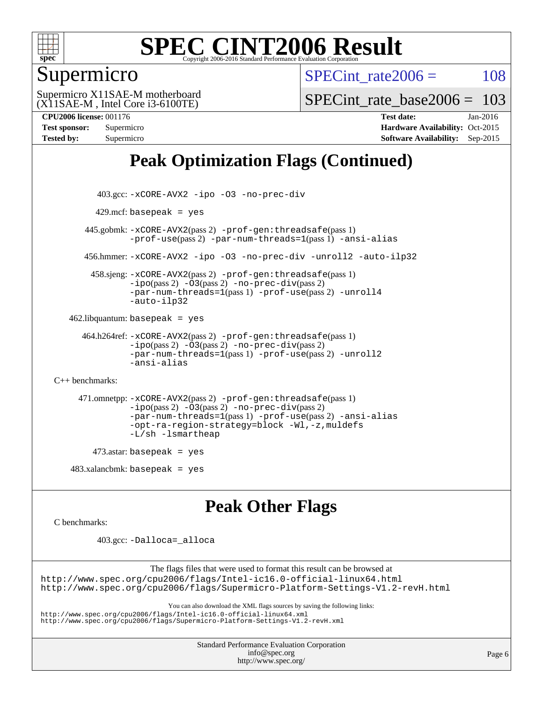

## Supermicro

SPECint rate $2006 = 108$ 

(X11SAE-M , Intel Core i3-6100TE) Supermicro X11SAE-M motherboard SPECint rate base  $2006 = 103$ 

**[CPU2006 license:](http://www.spec.org/auto/cpu2006/Docs/result-fields.html#CPU2006license)** 001176 **[Test date:](http://www.spec.org/auto/cpu2006/Docs/result-fields.html#Testdate)** Jan-2016 **[Test sponsor:](http://www.spec.org/auto/cpu2006/Docs/result-fields.html#Testsponsor)** Supermicro Supermicro **[Hardware Availability:](http://www.spec.org/auto/cpu2006/Docs/result-fields.html#HardwareAvailability)** Oct-2015 **[Tested by:](http://www.spec.org/auto/cpu2006/Docs/result-fields.html#Testedby)** Supermicro **[Software Availability:](http://www.spec.org/auto/cpu2006/Docs/result-fields.html#SoftwareAvailability)** Sep-2015

# **[Peak Optimization Flags \(Continued\)](http://www.spec.org/auto/cpu2006/Docs/result-fields.html#PeakOptimizationFlags)**

```
 403.gcc: -xCORE-AVX2 -ipo -O3 -no-prec-div
        429.mcf: basepeak = yes
       445.gobmk: -xCORE-AVX2(pass 2) -prof-gen:threadsafe(pass 1)
                -prof-use(pass 2) -par-num-threads=1(pass 1) -ansi-alias
       456.hmmer: -xCORE-AVX2 -ipo -O3 -no-prec-div -unroll2 -auto-ilp32
        458.sjeng: -xCORE-AVX2(pass 2) -prof-gen:threadsafe(pass 1)
                -i\text{po}(pass 2) -\ddot{o}3(pass 2)-no-prec-div(pass 2)
                -par-num-threads=1(pass 1) -prof-use(pass 2) -unroll4
                -auto-ilp32
   462.libquantum: basepeak = yes
      464.h264ref: -xCORE-AVX2(pass 2) -prof-gen:threadsafe(pass 1)
                -ipo(pass 2) -O3(pass 2) -no-prec-div(pass 2)
                -par-num-threads=1(pass 1) -prof-use(pass 2) -unroll2
                -ansi-alias
C++ benchmarks: 
      471.omnetpp: -xCORE-AVX2(pass 2) -prof-gen:threadsafe(pass 1)
                -ipo(pass 2) -O3(pass 2) -no-prec-div(pass 2)
                -par-num-threads=1(pass 1) -prof-use(pass 2) -ansi-alias
                -opt-ra-region-strategy=block -Wl,-z,muldefs
                -L/sh -lsmartheap
         473.astar: basepeak = yes
   483.xalanchmk: basepeak = yesPeak Other Flags
```
[C benchmarks](http://www.spec.org/auto/cpu2006/Docs/result-fields.html#Cbenchmarks):

403.gcc: [-Dalloca=\\_alloca](http://www.spec.org/cpu2006/results/res2016q1/cpu2006-20160206-38974.flags.html#b403.gcc_peakEXTRA_CFLAGS_Dalloca_be3056838c12de2578596ca5467af7f3)

The flags files that were used to format this result can be browsed at <http://www.spec.org/cpu2006/flags/Intel-ic16.0-official-linux64.html> <http://www.spec.org/cpu2006/flags/Supermicro-Platform-Settings-V1.2-revH.html>

You can also download the XML flags sources by saving the following links:

<http://www.spec.org/cpu2006/flags/Intel-ic16.0-official-linux64.xml>

<http://www.spec.org/cpu2006/flags/Supermicro-Platform-Settings-V1.2-revH.xml>

Standard Performance Evaluation Corporation [info@spec.org](mailto:info@spec.org) <http://www.spec.org/>

Page 6